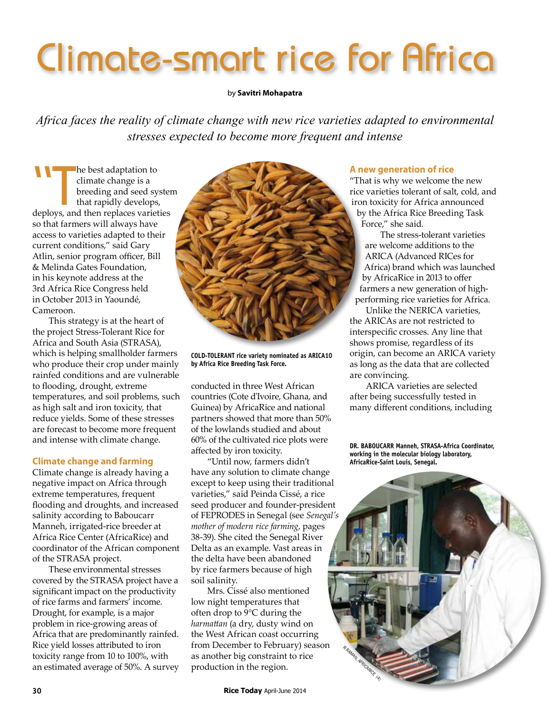# Climate-smart rice for Africa

### by **Savitri Mohapatra**

*Africa faces the reality of climate change with new rice varieties adapted to environmental stresses expected to become more frequent and intense*

The best adaptation to<br>
climate change is a<br>
breeding and seed syster<br>
that rapidly develops,<br>
deploys, and then replaces varieties climate change is a breeding and seed system that rapidly develops, so that farmers will always have access to varieties adapted to their current conditions," said Gary Atlin, senior program officer, Bill & Melinda Gates Foundation, in his keynote address at the 3rd Africa Rice Congress held in October 2013 in Yaoundé, Cameroon.

This strategy is at the heart of the project Stress-Tolerant Rice for Africa and South Asia (STRASA), which is helping smallholder farmers who produce their crop under mainly rainfed conditions and are vulnerable to flooding, drought, extreme temperatures, and soil problems, such as high salt and iron toxicity, that reduce yields. Some of these stresses are forecast to become more frequent and intense with climate change.

# **Climate change and farming**

Climate change is already having a negative impact on Africa through extreme temperatures, frequent flooding and droughts, and increased salinity according to Baboucarr Manneh, irrigated-rice breeder at Africa Rice Center (AfricaRice) and coordinator of the African component of the STRASA project.

These environmental stresses covered by the STRASA project have a significant impact on the productivity of rice farms and farmers' income. Drought, for example, is a major problem in rice-growing areas of Africa that are predominantly rainfed. Rice yield losses attributed to iron toxicity range from 10 to 100%, with an estimated average of 50%. A survey



**COLD-TOLERANT rice variety nominated as ARICA10 by Africa Rice Breeding Task Force.**

conducted in three West African countries (Cote d'Ivoire, Ghana, and Guinea) by AfricaRice and national partners showed that more than 50% of the lowlands studied and about 60% of the cultivated rice plots were affected by iron toxicity.

"Until now, farmers didn't have any solution to climate change except to keep using their traditional varieties," said Peinda Cissé, a rice seed producer and founder-president of FEPRODES in Senegal (see *Senegal's mother of modern rice farming*, pages 38-39). She cited the Senegal River Delta as an example. Vast areas in the delta have been abandoned by rice farmers because of high soil salinity.

Mrs. Cissé also mentioned low night temperatures that often drop to 9°C during the *harmattan* (a dry, dusty wind on the West African coast occurring from December to February) season as another big constraint to rice production in the region.

## **A new generation of rice**

"That is why we welcome the new rice varieties tolerant of salt, cold, and iron toxicity for Africa announced by the Africa Rice Breeding Task Force," she said.

The stress-tolerant varieties are welcome additions to the ARICA (Advanced RICes for Africa) brand which was launched by AfricaRice in 2013 to offer farmers a new generation of highperforming rice varieties for Africa.

Unlike the NERICA varieties, the ARICAs are not restricted to interspecific crosses. Any line that shows promise, regardless of its origin, can become an ARICA variety as long as the data that are collected are convincing.

ARICA varieties are selected after being successfully tested in many different conditions, including

**DR. BABOUCARR Manneh, STRASA-Africa Coordinator, working in the molecular biology laboratory, AfricaRice-Saint Louis, Senegal.**